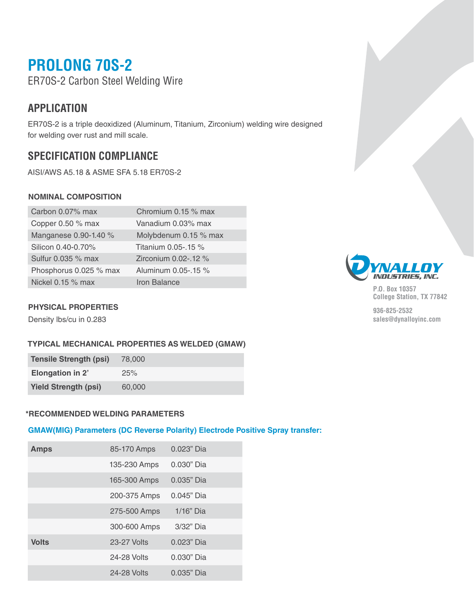# **PROLONG 70S-2**

ER70S-2 Carbon Steel Welding Wire

### **APPLICATION**

ER70S-2 is a triple deoxidized (Aluminum, Titanium, Zirconium) welding wire designed for welding over rust and mill scale.

## **SPECIFICATION COMPLIANCE**

AISI/AWS A5.18 & ASME SFA 5.18 ER70S-2

#### **NOMINAL COMPOSITION**

| Carbon 0.07% max       | Chromium 0.15 % max   |
|------------------------|-----------------------|
| Copper 0.50 % max      | Vanadium 0.03% max    |
| Manganese 0.90-1.40 %  | Molybdenum 0.15 % max |
| Silicon 0.40-0.70%     | Titanium 0.05-.15 %   |
| Sulfur 0.035 % max     | Zirconium 0.02-.12 %  |
| Phosphorus 0.025 % max | Aluminum 0.05-.15 %   |
| Nickel $0.15\%$ max    | <b>Iron Balance</b>   |

### **PHYSICAL PROPERTIES**

Density lbs/cu in 0.283

#### **TYPICAL MECHANICAL PROPERTIES AS WELDED (GMAW)**

| <b>Tensile Strength (psi)</b> | 78,000 |
|-------------------------------|--------|
| <b>Elongation in 2'</b>       | 25%    |
| <b>Yield Strength (psi)</b>   | 60,000 |

#### **\*RECOMMENDED WELDING PARAMETERS**

#### **GMAW(MIG) Parameters (DC Reverse Polarity) Electrode Positive Spray transfer:**

| <b>Amps</b>  | 85-170 Amps  | $0.023"$ Dia |
|--------------|--------------|--------------|
|              | 135-230 Amps | $0.030"$ Dia |
|              | 165-300 Amps | $0.035"$ Dia |
|              | 200-375 Amps | $0.045"$ Dia |
|              | 275-500 Amps | 1/16" Dia    |
|              | 300-600 Amps | $3/32$ " Dia |
| <b>Volts</b> | 23-27 Volts  | $0.023"$ Dia |
|              | 24-28 Volts  | $0.030"$ Dia |
|              | 24-28 Volts  | $0.035"$ Dia |



**P.O. Box 10357 College Station, TX 77842**

**936-825-2532 sales@dynalloyinc.com**